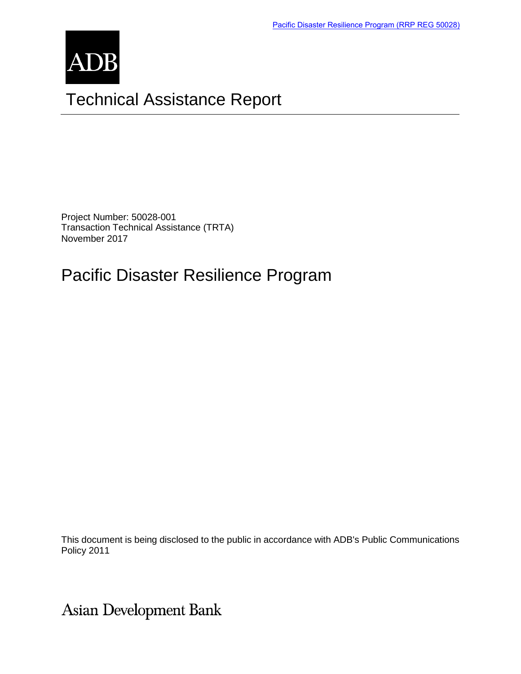

Project Number: 50028-001 Transaction Technical Assistance (TRTA) November 2017

# Pacific Disaster Resilience Program

This document is being disclosed to the public in accordance with ADB's Public Communications Policy 2011

**Asian Development Bank**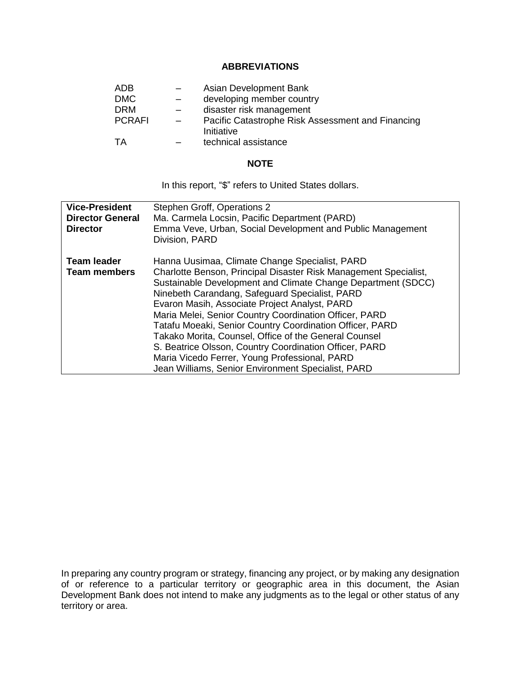#### **ABBREVIATIONS**

| <b>ADB</b>    |     | Asian Development Bank                                          |
|---------------|-----|-----------------------------------------------------------------|
| <b>DMC</b>    |     | developing member country                                       |
| <b>DRM</b>    | $-$ | disaster risk management                                        |
| <b>PCRAFI</b> |     | Pacific Catastrophe Risk Assessment and Financing<br>Initiative |
| TA            |     | technical assistance                                            |

#### **NOTE**

In this report, "\$" refers to United States dollars.

| <b>Vice-President</b><br><b>Director General</b><br><b>Director</b> | Stephen Groff, Operations 2<br>Ma. Carmela Locsin, Pacific Department (PARD)<br>Emma Veve, Urban, Social Development and Public Management<br>Division, PARD                                                                                                                                                                                                                                                                                                                                                                                                                                                                          |  |
|---------------------------------------------------------------------|---------------------------------------------------------------------------------------------------------------------------------------------------------------------------------------------------------------------------------------------------------------------------------------------------------------------------------------------------------------------------------------------------------------------------------------------------------------------------------------------------------------------------------------------------------------------------------------------------------------------------------------|--|
| <b>Team leader</b><br><b>Team members</b>                           | Hanna Uusimaa, Climate Change Specialist, PARD<br>Charlotte Benson, Principal Disaster Risk Management Specialist,<br>Sustainable Development and Climate Change Department (SDCC)<br>Ninebeth Carandang, Safeguard Specialist, PARD<br>Evaron Masih, Associate Project Analyst, PARD<br>Maria Melei, Senior Country Coordination Officer, PARD<br>Tatafu Moeaki, Senior Country Coordination Officer, PARD<br>Takako Morita, Counsel, Office of the General Counsel<br>S. Beatrice Olsson, Country Coordination Officer, PARD<br>Maria Vicedo Ferrer, Young Professional, PARD<br>Jean Williams, Senior Environment Specialist, PARD |  |

In preparing any country program or strategy, financing any project, or by making any designation of or reference to a particular territory or geographic area in this document, the Asian Development Bank does not intend to make any judgments as to the legal or other status of any territory or area.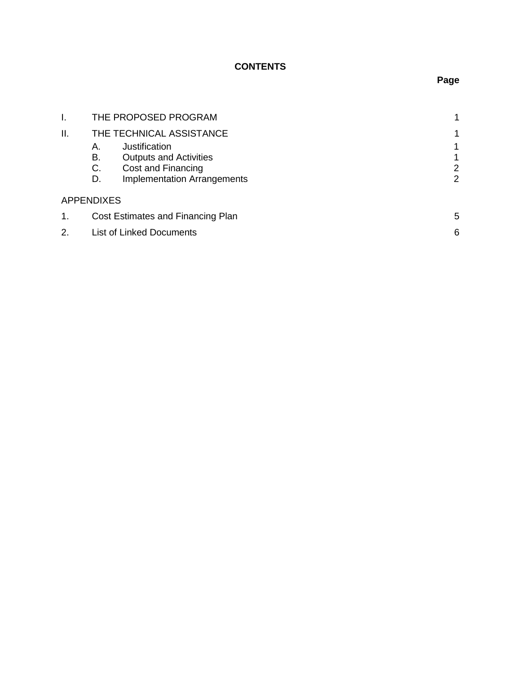## **CONTENTS**

| I.  | THE PROPOSED PROGRAM              |                                    |             |  |
|-----|-----------------------------------|------------------------------------|-------------|--|
| ΙΙ. |                                   | THE TECHNICAL ASSISTANCE           |             |  |
|     | А.                                | Justification                      | 1           |  |
|     | В.                                | <b>Outputs and Activities</b>      | $\mathbf 1$ |  |
|     | C.                                | Cost and Financing                 | 2           |  |
|     | D.                                | <b>Implementation Arrangements</b> | 2           |  |
|     | <b>APPENDIXES</b>                 |                                    |             |  |
| 1.  | Cost Estimates and Financing Plan |                                    | 5           |  |
| 2.  |                                   | <b>List of Linked Documents</b>    |             |  |

# **Page**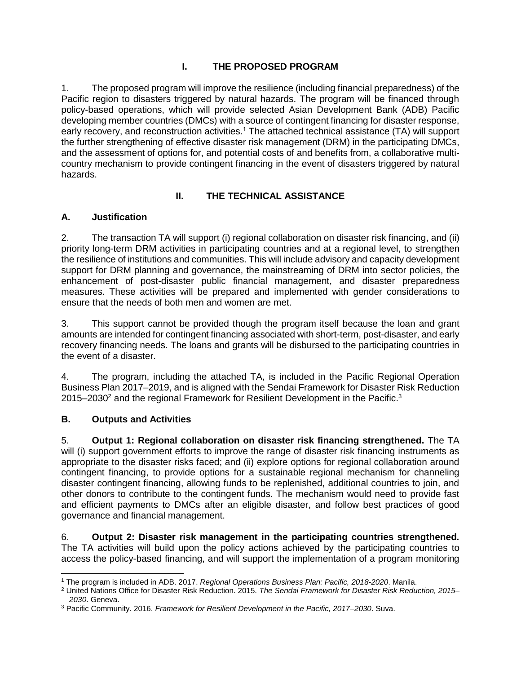### **I. THE PROPOSED PROGRAM**

1. The proposed program will improve the resilience (including financial preparedness) of the Pacific region to disasters triggered by natural hazards. The program will be financed through policy-based operations, which will provide selected Asian Development Bank (ADB) Pacific developing member countries (DMCs) with a source of contingent financing for disaster response, early recovery, and reconstruction activities.<sup>1</sup> The attached technical assistance (TA) will support the further strengthening of effective disaster risk management (DRM) in the participating DMCs, and the assessment of options for, and potential costs of and benefits from, a collaborative multicountry mechanism to provide contingent financing in the event of disasters triggered by natural hazards.

### **II. THE TECHNICAL ASSISTANCE**

### **A. Justification**

2. The transaction TA will support (i) regional collaboration on disaster risk financing, and (ii) priority long-term DRM activities in participating countries and at a regional level, to strengthen the resilience of institutions and communities. This will include advisory and capacity development support for DRM planning and governance, the mainstreaming of DRM into sector policies, the enhancement of post-disaster public financial management, and disaster preparedness measures. These activities will be prepared and implemented with gender considerations to ensure that the needs of both men and women are met.

3. This support cannot be provided though the program itself because the loan and grant amounts are intended for contingent financing associated with short-term, post-disaster, and early recovery financing needs. The loans and grants will be disbursed to the participating countries in the event of a disaster.

4. The program, including the attached TA, is included in the Pacific Regional Operation Business Plan 2017–2019, and is aligned with the Sendai Framework for Disaster Risk Reduction 2015–2030<sup>2</sup> and the regional Framework for Resilient Development in the Pacific.<sup>3</sup>

#### **B. Outputs and Activities**

5. **Output 1: Regional collaboration on disaster risk financing strengthened.** The TA will (i) support government efforts to improve the range of disaster risk financing instruments as appropriate to the disaster risks faced; and (ii) explore options for regional collaboration around contingent financing, to provide options for a sustainable regional mechanism for channeling disaster contingent financing, allowing funds to be replenished, additional countries to join, and other donors to contribute to the contingent funds. The mechanism would need to provide fast and efficient payments to DMCs after an eligible disaster, and follow best practices of good governance and financial management.

6. **Output 2: Disaster risk management in the participating countries strengthened.** The TA activities will build upon the policy actions achieved by the participating countries to access the policy-based financing, and will support the implementation of a program monitoring

 $\overline{a}$ <sup>1</sup> The program is included in ADB. 2017. *Regional Operations Business Plan: Pacific, 2018-2020*. Manila.

<sup>2</sup> United Nations Office for Disaster Risk Reduction. 2015. *The Sendai Framework for Disaster Risk Reduction, 2015– 2030*. Geneva.

<sup>3</sup> Pacific Community. 2016. *Framework for Resilient Development in the Pacific, 2017–2030*. Suva.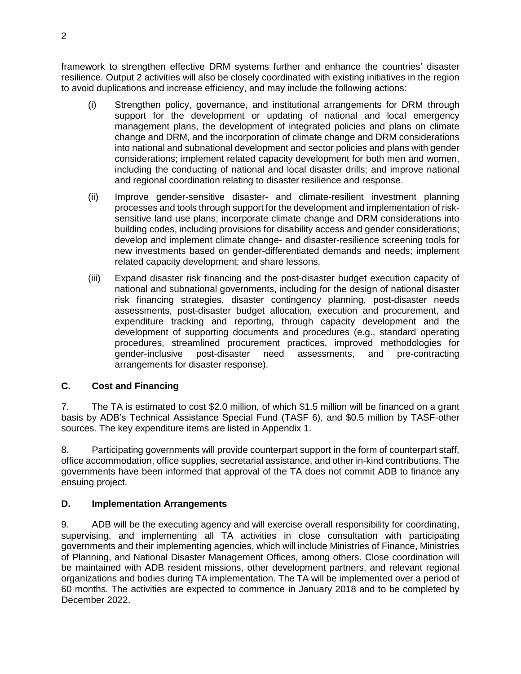framework to strengthen effective DRM systems further and enhance the countries' disaster resilience. Output 2 activities will also be closely coordinated with existing initiatives in the region to avoid duplications and increase efficiency, and may include the following actions:

- (i) Strengthen policy, governance, and institutional arrangements for DRM through support for the development or updating of national and local emergency management plans, the development of integrated policies and plans on climate change and DRM, and the incorporation of climate change and DRM considerations into national and subnational development and sector policies and plans with gender considerations; implement related capacity development for both men and women, including the conducting of national and local disaster drills; and improve national and regional coordination relating to disaster resilience and response.
- (ii) Improve gender-sensitive disaster- and climate-resilient investment planning processes and tools through support for the development and implementation of risksensitive land use plans; incorporate climate change and DRM considerations into building codes, including provisions for disability access and gender considerations; develop and implement climate change- and disaster-resilience screening tools for new investments based on gender-differentiated demands and needs; implement related capacity development; and share lessons.
- (iii) Expand disaster risk financing and the post-disaster budget execution capacity of national and subnational governments, including for the design of national disaster risk financing strategies, disaster contingency planning, post-disaster needs assessments, post-disaster budget allocation, execution and procurement, and expenditure tracking and reporting, through capacity development and the development of supporting documents and procedures (e.g., standard operating procedures, streamlined procurement practices, improved methodologies for gender-inclusive post-disaster need assessments, and pre-contracting arrangements for disaster response).

#### **C. Cost and Financing**

7. The TA is estimated to cost \$2.0 million, of which \$1.5 million will be financed on a grant basis by ADB's Technical Assistance Special Fund (TASF 6), and \$0.5 million by TASF-other sources. The key expenditure items are listed in Appendix 1.

8. Participating governments will provide counterpart support in the form of counterpart staff, office accommodation, office supplies, secretarial assistance, and other in-kind contributions. The governments have been informed that approval of the TA does not commit ADB to finance any ensuing project.

#### **D. Implementation Arrangements**

9. ADB will be the executing agency and will exercise overall responsibility for coordinating, supervising, and implementing all TA activities in close consultation with participating governments and their implementing agencies, which will include Ministries of Finance, Ministries of Planning, and National Disaster Management Offices, among others. Close coordination will be maintained with ADB resident missions, other development partners, and relevant regional organizations and bodies during TA implementation. The TA will be implemented over a period of 60 months. The activities are expected to commence in January 2018 and to be completed by December 2022.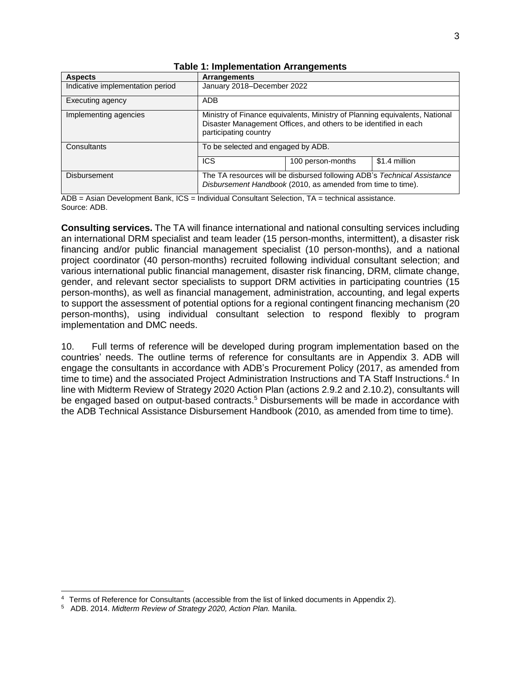| <b>Aspects</b>                   | <b>Arrangements</b>                                                                                                                                                      |                   |               |  |
|----------------------------------|--------------------------------------------------------------------------------------------------------------------------------------------------------------------------|-------------------|---------------|--|
| Indicative implementation period | January 2018-December 2022                                                                                                                                               |                   |               |  |
| Executing agency                 | <b>ADB</b>                                                                                                                                                               |                   |               |  |
| Implementing agencies            | Ministry of Finance equivalents, Ministry of Planning equivalents, National<br>Disaster Management Offices, and others to be identified in each<br>participating country |                   |               |  |
| Consultants                      | To be selected and engaged by ADB.                                                                                                                                       |                   |               |  |
|                                  | <b>ICS</b>                                                                                                                                                               | 100 person-months | \$1.4 million |  |
| <b>Disbursement</b>              | The TA resources will be disbursed following ADB's Technical Assistance<br>Disbursement Handbook (2010, as amended from time to time).                                   |                   |               |  |

#### **Table 1: Implementation Arrangements**

ADB = Asian Development Bank, ICS = Individual Consultant Selection, TA = technical assistance. Source: ADB.

**Consulting services.** The TA will finance international and national consulting services including an international DRM specialist and team leader (15 person-months, intermittent), a disaster risk financing and/or public financial management specialist (10 person-months), and a national project coordinator (40 person-months) recruited following individual consultant selection; and various international public financial management, disaster risk financing, DRM, climate change, gender, and relevant sector specialists to support DRM activities in participating countries (15 person-months), as well as financial management, administration, accounting, and legal experts to support the assessment of potential options for a regional contingent financing mechanism (20 person-months), using individual consultant selection to respond flexibly to program implementation and DMC needs.

10. Full terms of reference will be developed during program implementation based on the countries' needs. The outline terms of reference for consultants are in Appendix 3. ADB will engage the consultants in accordance with ADB's Procurement Policy (2017, as amended from time to time) and the associated Project Administration Instructions and TA Staff Instructions.<sup>4</sup> In line with Midterm Review of Strategy 2020 Action Plan (actions 2.9.2 and 2.10.2), consultants will be engaged based on output-based contracts.<sup>5</sup> Disbursements will be made in accordance with the ADB Technical Assistance Disbursement Handbook (2010, as amended from time to time).

 $\overline{a}$ 

<sup>4</sup> Terms of Reference for Consultants (accessible from the list of linked documents in Appendix 2).

<sup>5</sup> ADB. 2014. *Midterm Review of Strategy 2020, Action Plan.* Manila.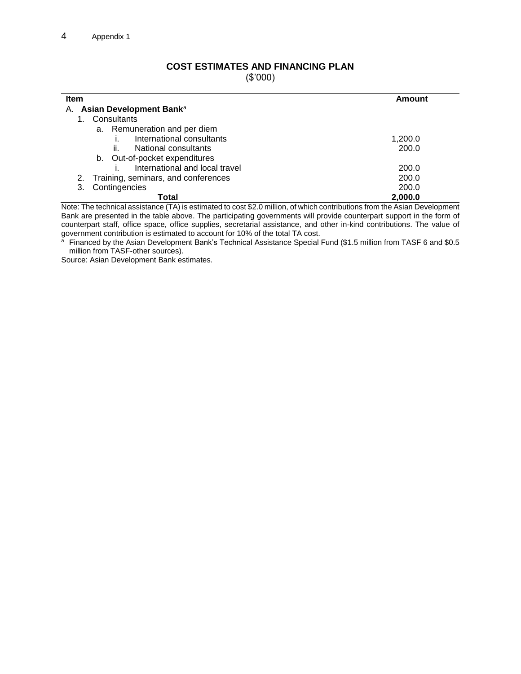#### **COST ESTIMATES AND FINANCING PLAN**

(\$'000)

| <b>Item</b>                            | Amount  |  |  |  |
|----------------------------------------|---------|--|--|--|
| A. Asian Development Banka             |         |  |  |  |
| Consultants                            |         |  |  |  |
| a. Remuneration and per diem           |         |  |  |  |
| International consultants              | 1,200.0 |  |  |  |
| National consultants<br>ii.            | 200.0   |  |  |  |
| Out-of-pocket expenditures<br>b.       |         |  |  |  |
| International and local travel         | 200.0   |  |  |  |
| 2. Training, seminars, and conferences | 200.0   |  |  |  |
| Contingencies<br>3.                    | 200.0   |  |  |  |
| Total                                  | 2.000.0 |  |  |  |

Note: The technical assistance (TA) is estimated to cost \$2.0 million, of which contributions from the Asian Development Bank are presented in the table above. The participating governments will provide counterpart support in the form of counterpart staff, office space, office supplies, secretarial assistance, and other in-kind contributions. The value of government contribution is estimated to account for 10% of the total TA cost.

<sup>a</sup> Financed by the Asian Development Bank's Technical Assistance Special Fund (\$1.5 million from TASF 6 and \$0.5 million from TASF-other sources).

Source: Asian Development Bank estimates.